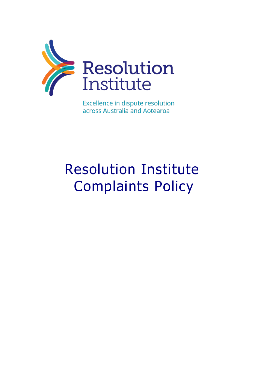

Excellence in dispute resolution across Australia and Aotearoa

# Resolution Institute Complaints Policy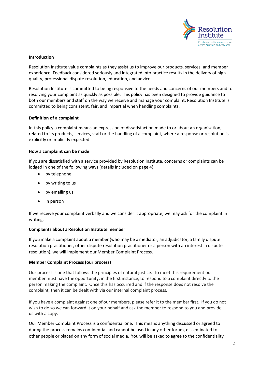

# **Introduction**

Resolution Institute value complaints as they assist us to improve our products, services, and member experience. Feedback considered seriously and integrated into practice results in the delivery of high quality, professional dispute resolution, education, and advice.

Resolution Institute is committed to being responsive to the needs and concerns of our members and to resolving your complaint as quickly as possible. This policy has been designed to provide guidance to both our members and staff on the way we receive and manage your complaint. Resolution Institute is committed to being consistent, fair, and impartial when handling complaints.

# **Definition of a complaint**

In this policy a complaint means an expression of dissatisfaction made to or about an organisation, related to its products, services, staff or the handling of a complaint, where a response or resolution is explicitly or implicitly expected.

# **How a complaint can be made**

If you are dissatisfied with a service provided by Resolution Institute, concerns or complaints can be lodged in one of the following ways (details included on page 4):

- by telephone
- by writing to us
- by emailing us
- in person

If we receive your complaint verbally and we consider it appropriate, we may ask for the complaint in writing.

# **Complaints about a Resolution Institute member**

If you make a complaint about a member (who may be a mediator, an adjudicator, a family dispute resolution practitioner, other dispute resolution practitioner or a person with an interest in dispute resolution), we will implement our Member Complaint Process.

# **Member Complaint Process (our process)**

Our process is one that follows the principles of natural justice. To meet this requirement our member must have the opportunity, in the first instance, to respond to a complaint directly to the person making the complaint. Once this has occurred and if the response does not resolve the complaint, then it can be dealt with via our internal complaint process.

If you have a complaint against one of our members, please refer it to the member first. If you do not wish to do so we can forward it on your behalf and ask the member to respond to you and provide us with a copy.

Our Member Complaint Process is a confidential one. This means anything discussed or agreed to during the process remains confidential and cannot be used in any other forum, disseminated to other people or placed on any form of social media. You will be asked to agree to the confidentiality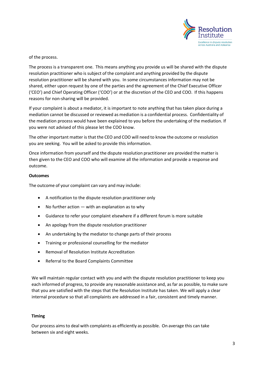

of the process.

The process is a transparent one. This means anything you provide us will be shared with the dispute resolution practitioner who is subject of the complaint and anything provided by the dispute resolution practitioner will be shared with you. In some circumstances information may not be shared, either upon request by one of the parties and the agreement of the Chief Executive Officer ('CEO') and Chief Operating Officer ('COO') or at the discretion of the CEO and COO. If this happens reasons for non-sharing will be provided.

If your complaint is about a mediator, it is important to note anything that has taken place during a mediation cannot be discussed or reviewed as mediation is a confidential process. Confidentiality of the mediation process would have been explained to you before the undertaking of the mediation. If you were not advised of this please let the COO know.

The other important matter is that the CEO and COO will need to know the outcome or resolution you are seeking. You will be asked to provide this information.

Once information from yourself and the dispute resolution practitioner are provided the matter is then given to the CEO and COO who will examine all the information and provide a response and outcome.

# **Outcomes**

The outcome of your complaint can vary and may include:

- A notification to the dispute resolution practitioner only
- No further action with an explanation as to why
- Guidance to refer your complaint elsewhere if a different forum is more suitable
- An apology from the dispute resolution practitioner
- An undertaking by the mediator to change parts of their process
- Training or professional counselling for the mediator
- Removal of Resolution Institute Accreditation
- Referral to the Board Complaints Committee

We will maintain regular contact with you and with the dispute resolution practitioner to keep you each informed of progress, to provide any reasonable assistance and, as far as possible, to make sure that you are satisfied with the steps that the Resolution Institute has taken. We will apply a clear internal procedure so that all complaints are addressed in a fair, consistent and timely manner.

# **Timing**

Our process aimsto deal with complaints as efficiently as possible. On average this can take between six and eight weeks.